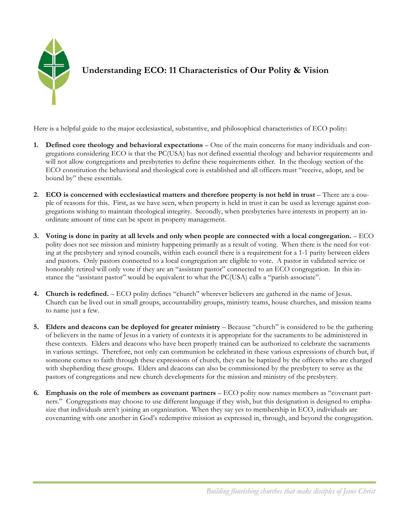

**Understanding ECO: 11 Characteristics of Our Polity & Vision**

Here is a helpful guide to the major ecclesiastical, substantive, and philosophical characteristics of ECO polity:

- **1. Defined core theology and behavioral expectations** One of the main concerns for many individuals and congregations considering ECO is that the PC(USA) has not defined essential theology and behavior requirements and will not allow congregations and presbyteries to define these requirements either. In the theology section of the ECO constitution the behavioral and theological core is established and all officers must "receive, adopt, and be bound by" these essentials.
- **2. ECO is concerned with ecclesiastical matters and therefore property is not held in trust** There are a couple of reasons for this. First, as we have seen, when property is held in trust it can be used as leverage against congregations wishing to maintain theological integrity. Secondly, when presbyteries have interests in property an inordinate amount of time can be spent in property management.
- **3. Voting is done in parity at all levels and only when people are connected with a local congregation.**  ECO polity does not see mission and ministry happening primarily as a result of voting. When there is the need for voting at the presbytery and synod councils, within each council there is a requirement for a 1-1 parity between elders and pastors. Only pastors connected to a local congregation are eligible to vote. A pastor in validated service or honorably retired will only vote if they are an "assistant pastor" connected to an ECO congregation. In this instance the "assistant pastor" would be equivalent to what the PC(USA) calls a "parish associate".
- **4. Church is redefined.** ECO polity defines "church" wherever believers are gathered in the name of Jesus. Church can be lived out in small groups, accountability groups, ministry teams, house churches, and mission teams to name just a few.
- **5. Elders and deacons can be deployed for greater ministry** Because "church" is considered to be the gathering of believers in the name of Jesus in a variety of contexts it is appropriate for the sacraments to be administered in these contexts. Elders and deacons who have been properly trained can be authorized to celebrate the sacraments in various settings. Therefore, not only can communion be celebrated in these various expressions of church but, if someone comes to faith through these expressions of church, they can be baptized by the officers who are charged with shepherding these groups. Elders and deacons can also be commissioned by the presbytery to serve as the pastors of congregations and new church developments for the mission and ministry of the presbytery.
- **6. Emphasis on the role of members as covenant partners** ECO polity now names members as "covenant partners." Congregations may choose to use different language if they wish, but this designation is designed to emphasize that individuals aren't joining an organization. When they say yes to membership in ECO, individuals are covenanting with one another in God's redemptive mission as expressed in, through, and beyond the congregation.